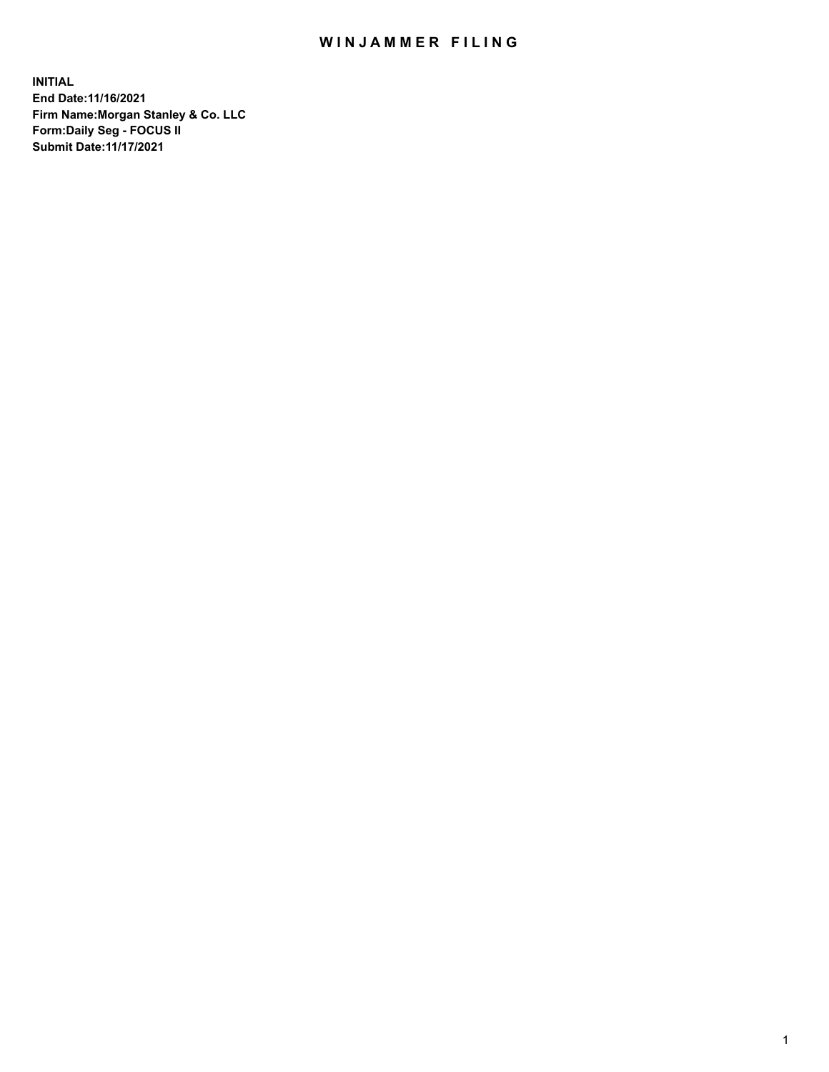## WIN JAMMER FILING

**INITIAL End Date:11/16/2021 Firm Name:Morgan Stanley & Co. LLC Form:Daily Seg - FOCUS II Submit Date:11/17/2021**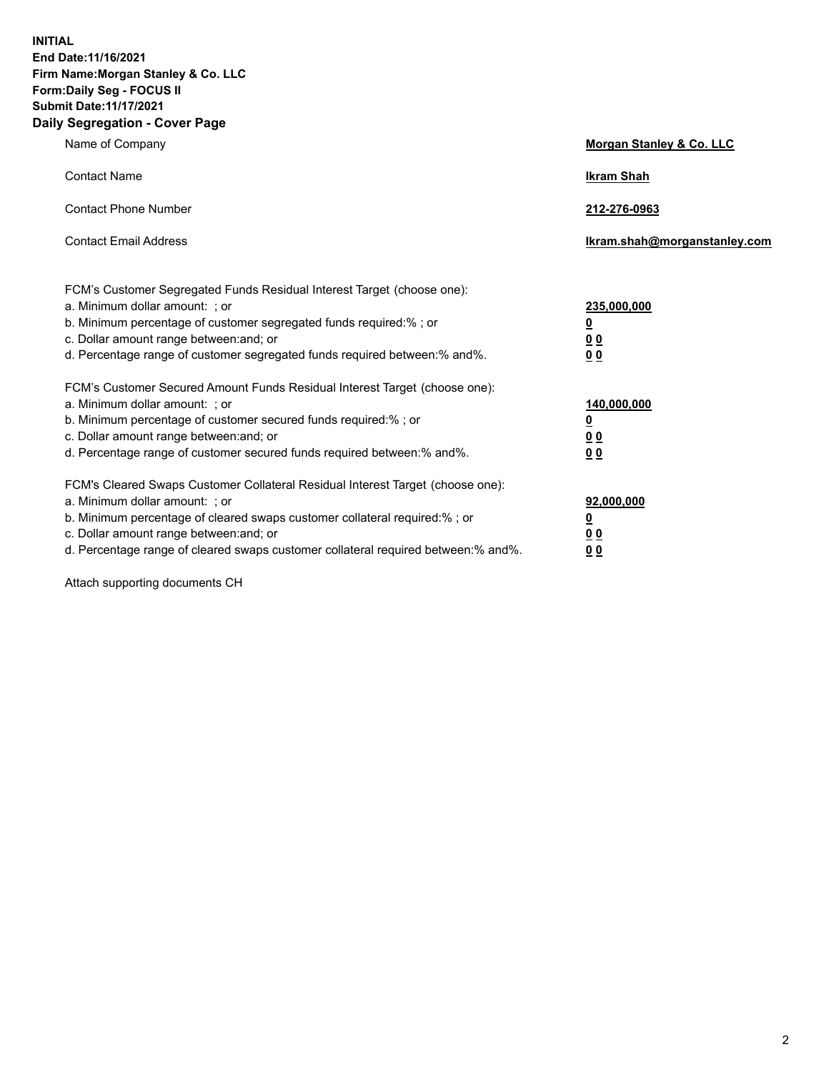**INITIAL End Date:11/16/2021 Firm Name:Morgan Stanley & Co. LLC Form:Daily Seg - FOCUS II Submit Date:11/17/2021 Daily Segregation - Cover Page**

| Name of Company                                                                                                                                                                                                                                                                                                                | Morgan Stanley & Co. LLC                                |
|--------------------------------------------------------------------------------------------------------------------------------------------------------------------------------------------------------------------------------------------------------------------------------------------------------------------------------|---------------------------------------------------------|
| <b>Contact Name</b>                                                                                                                                                                                                                                                                                                            | <b>Ikram Shah</b>                                       |
| <b>Contact Phone Number</b>                                                                                                                                                                                                                                                                                                    | 212-276-0963                                            |
| <b>Contact Email Address</b>                                                                                                                                                                                                                                                                                                   | Ikram.shah@morganstanley.com                            |
| FCM's Customer Segregated Funds Residual Interest Target (choose one):<br>a. Minimum dollar amount: ; or<br>b. Minimum percentage of customer segregated funds required:%; or<br>c. Dollar amount range between: and; or<br>d. Percentage range of customer segregated funds required between: % and %.                        | 235,000,000<br><u>0</u><br>00<br>0 Q                    |
| FCM's Customer Secured Amount Funds Residual Interest Target (choose one):<br>a. Minimum dollar amount: ; or<br>b. Minimum percentage of customer secured funds required:%; or<br>c. Dollar amount range between: and; or<br>d. Percentage range of customer secured funds required between:% and%.                            | 140,000,000<br><u>0</u><br><u>0 0</u><br>0 <sub>0</sub> |
| FCM's Cleared Swaps Customer Collateral Residual Interest Target (choose one):<br>a. Minimum dollar amount: ; or<br>b. Minimum percentage of cleared swaps customer collateral required:% ; or<br>c. Dollar amount range between: and; or<br>d. Percentage range of cleared swaps customer collateral required between:% and%. | 92,000,000<br><u>0</u><br><u>00</u><br>00               |

Attach supporting documents CH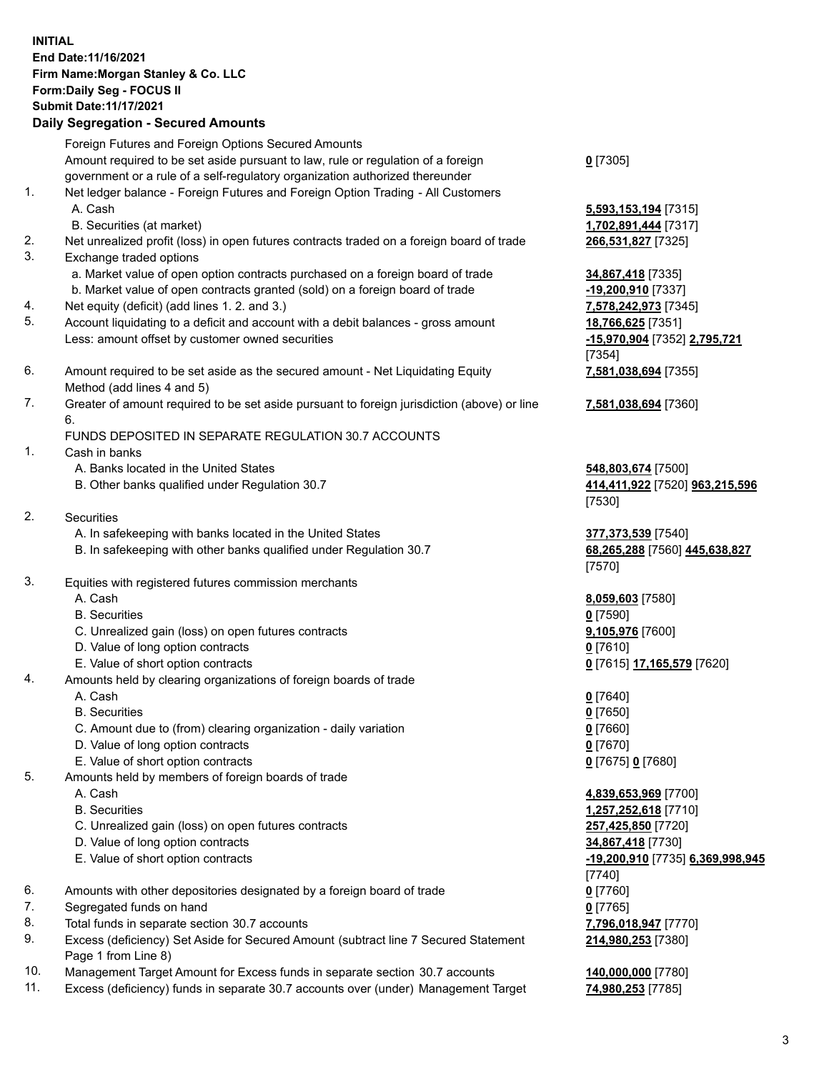## **INITIAL End Date:11/16/2021 Firm Name:Morgan Stanley & Co. LLC Form:Daily Seg - FOCUS II Submit Date:11/17/2021**

## **Daily Segregation - Secured Amounts**

Foreign Futures and Foreign Options Secured Amounts Amount required to be set aside pursuant to law, rule or regulation of a foreign government or a rule of a self-regulatory organization authorized thereunder 1. Net ledger balance - Foreign Futures and Foreign Option Trading - All Customers A. Cash **5,593,153,194** [7315] B. Securities (at market) **1,702,891,444** [7317] 2. Net unrealized profit (loss) in open futures contracts traded on a foreign board of trade **266,531,827** [7325] 3. Exchange traded options a. Market value of open option contracts purchased on a foreign board of trade **34,867,418** [7335] b. Market value of open contracts granted (sold) on a foreign board of trade **-19,200,910** [7337] 4. Net equity (deficit) (add lines 1. 2. and 3.) **7,578,242,973** [7345] 5. Account liquidating to a deficit and account with a debit balances - gross amount **18,766,625** [7351] Less: amount offset by customer owned securities **-15,970,904** [7352] **2,795,721** 6. Amount required to be set aside as the secured amount - Net Liquidating Equity Method (add lines 4 and 5) 7. Greater of amount required to be set aside pursuant to foreign jurisdiction (above) or line 6. FUNDS DEPOSITED IN SEPARATE REGULATION 30.7 ACCOUNTS 1. Cash in banks A. Banks located in the United States **548,803,674** [7500] B. Other banks qualified under Regulation 30.7 **414,411,922** [7520] **963,215,596** 2. Securities A. In safekeeping with banks located in the United States **377,373,539** [7540] B. In safekeeping with other banks qualified under Regulation 30.7 **68,265,288** [7560] **445,638,827** 3. Equities with registered futures commission merchants A. Cash **8,059,603** [7580] B. Securities **0** [7590] C. Unrealized gain (loss) on open futures contracts **9,105,976** [7600] D. Value of long option contracts **0** [7610] E. Value of short option contracts **0** [7615] **17,165,579** [7620] 4. Amounts held by clearing organizations of foreign boards of trade A. Cash **0** [7640]

B. Securities **0** [7650]

- C. Amount due to (from) clearing organization daily variation **0** [7660]
- D. Value of long option contracts **0** [7670]
- E. Value of short option contracts **0** [7675] **0** [7680]
- 5. Amounts held by members of foreign boards of trade
	-
	-
	- C. Unrealized gain (loss) on open futures contracts **257,425,850** [7720]
	- D. Value of long option contracts **34,867,418** [7730]
	-
- 6. Amounts with other depositories designated by a foreign board of trade **0** [7760]
- 7. Segregated funds on hand **0** [7765]
- 8. Total funds in separate section 30.7 accounts **7,796,018,947** [7770]
- 9. Excess (deficiency) Set Aside for Secured Amount (subtract line 7 Secured Statement Page 1 from Line 8)
- 10. Management Target Amount for Excess funds in separate section 30.7 accounts **140,000,000** [7780]
- 11. Excess (deficiency) funds in separate 30.7 accounts over (under) Management Target **74,980,253** [7785]

**0** [7305]

[7354] **7,581,038,694** [7355]

**7,581,038,694** [7360]

[7530]

[7570]

 A. Cash **4,839,653,969** [7700] B. Securities **1,257,252,618** [7710] E. Value of short option contracts **-19,200,910** [7735] **6,369,998,945** [7740] **214,980,253** [7380]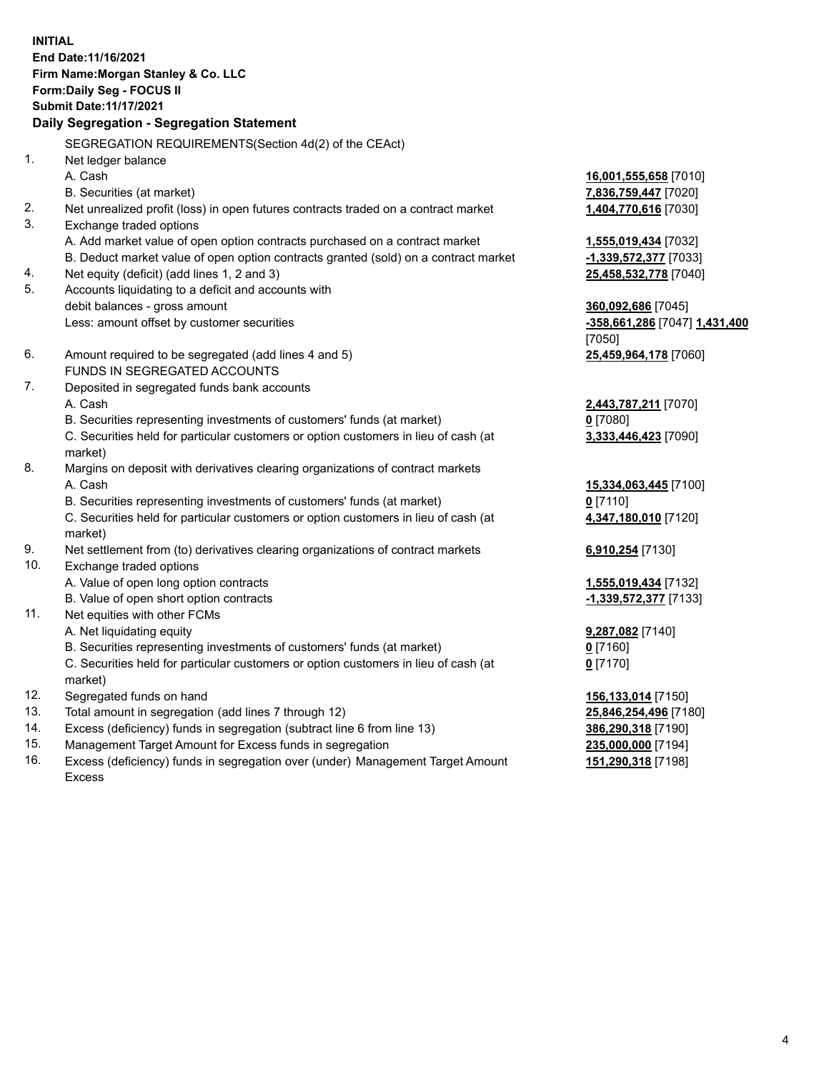**INITIAL End Date:11/16/2021 Firm Name:Morgan Stanley & Co. LLC Form:Daily Seg - FOCUS II Submit Date:11/17/2021 Daily Segregation - Segregation Statement** SEGREGATION REQUIREMENTS(Section 4d(2) of the CEAct) 1. Net ledger balance A. Cash **16,001,555,658** [7010] B. Securities (at market) **7,836,759,447** [7020] 2. Net unrealized profit (loss) in open futures contracts traded on a contract market **1,404,770,616** [7030] 3. Exchange traded options A. Add market value of open option contracts purchased on a contract market **1,555,019,434** [7032] B. Deduct market value of open option contracts granted (sold) on a contract market **-1,339,572,377** [7033] 4. Net equity (deficit) (add lines 1, 2 and 3) **25,458,532,778** [7040] 5. Accounts liquidating to a deficit and accounts with debit balances - gross amount **360,092,686** [7045] Less: amount offset by customer securities **-358,661,286** [7047] **1,431,400** [7050] 6. Amount required to be segregated (add lines 4 and 5) **25,459,964,178** [7060] FUNDS IN SEGREGATED ACCOUNTS 7. Deposited in segregated funds bank accounts A. Cash **2,443,787,211** [7070] B. Securities representing investments of customers' funds (at market) **0** [7080] C. Securities held for particular customers or option customers in lieu of cash (at market) **3,333,446,423** [7090] 8. Margins on deposit with derivatives clearing organizations of contract markets A. Cash **15,334,063,445** [7100] B. Securities representing investments of customers' funds (at market) **0** [7110] C. Securities held for particular customers or option customers in lieu of cash (at market) **4,347,180,010** [7120] 9. Net settlement from (to) derivatives clearing organizations of contract markets **6,910,254** [7130] 10. Exchange traded options A. Value of open long option contracts **1,555,019,434** [7132] B. Value of open short option contracts **-1,339,572,377** [7133] 11. Net equities with other FCMs A. Net liquidating equity **9,287,082** [7140] B. Securities representing investments of customers' funds (at market) **0** [7160] C. Securities held for particular customers or option customers in lieu of cash (at market) **0** [7170] 12. Segregated funds on hand **156,133,014** [7150] 13. Total amount in segregation (add lines 7 through 12) **25,846,254,496** [7180] 14. Excess (deficiency) funds in segregation (subtract line 6 from line 13) **386,290,318** [7190]

- 15. Management Target Amount for Excess funds in segregation **235,000,000** [7194]
- 16. Excess (deficiency) funds in segregation over (under) Management Target Amount Excess

**151,290,318** [7198]